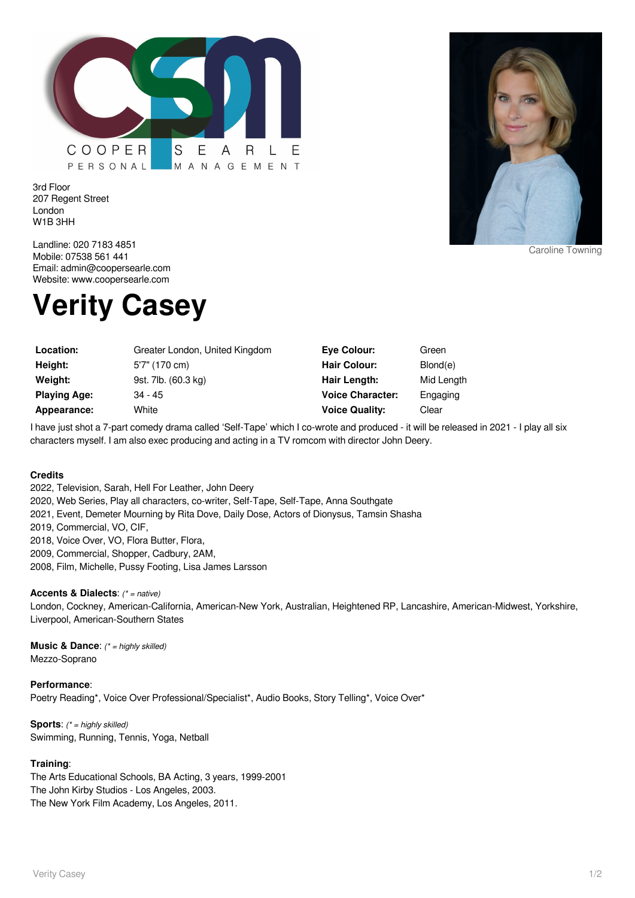

3rd Floor 207 Regent Street London W1B 3HH



Caroline Towning

Landline: 020 7183 4851 Mobile: 07538 561 441 Email: admin@coopersearle.com Website: www.coopersearle.com

## **Verity Casey**

| Location:           | Greater London, United Kingdom | Eve Colour:             | Green      |
|---------------------|--------------------------------|-------------------------|------------|
| Height:             | 5'7" (170 cm)                  | <b>Hair Colour:</b>     | Blond(e)   |
| Weight:             | 9st. 7lb. (60.3 kg)            | Hair Length:            | Mid Length |
| <b>Playing Age:</b> | $34 - 45$                      | <b>Voice Character:</b> | Engaging   |
| Appearance:         | White                          | <b>Voice Quality:</b>   | Clear      |

I have just shot a 7-part comedy drama called 'Self-Tape' which I co-wrote and produced - it will be released in 2021 - I play all six characters myself. I am also exec producing and acting in a TV romcom with director John Deery.

## **Credits**

2022, Television, Sarah, Hell For Leather, John Deery 2020, Web Series, Play all characters, co-writer, Self-Tape, Self-Tape, Anna Southgate 2021, Event, Demeter Mourning by Rita Dove, Daily Dose, Actors of Dionysus, Tamsin Shasha 2019, Commercial, VO, CIF, 2018, Voice Over, VO, Flora Butter, Flora, 2009, Commercial, Shopper, Cadbury, 2AM, 2008, Film, Michelle, Pussy Footing, Lisa James Larsson

## **Accents & Dialects**: (\* = native)

London, Cockney, American-California, American-New York, Australian, Heightened RP, Lancashire, American-Midwest, Yorkshire, Liverpool, American-Southern States

**Music & Dance:** (\* = highly skilled) Mezzo-Soprano

**Performance**: Poetry Reading\*, Voice Over Professional/Specialist\*, Audio Books, Story Telling\*, Voice Over\*

**Sports:** (\* = highly skilled) Swimming, Running, Tennis, Yoga, Netball

## **Training**:

The Arts Educational Schools, BA Acting, 3 years, 1999-2001 The John Kirby Studios - Los Angeles, 2003. The New York Film Academy, Los Angeles, 2011.